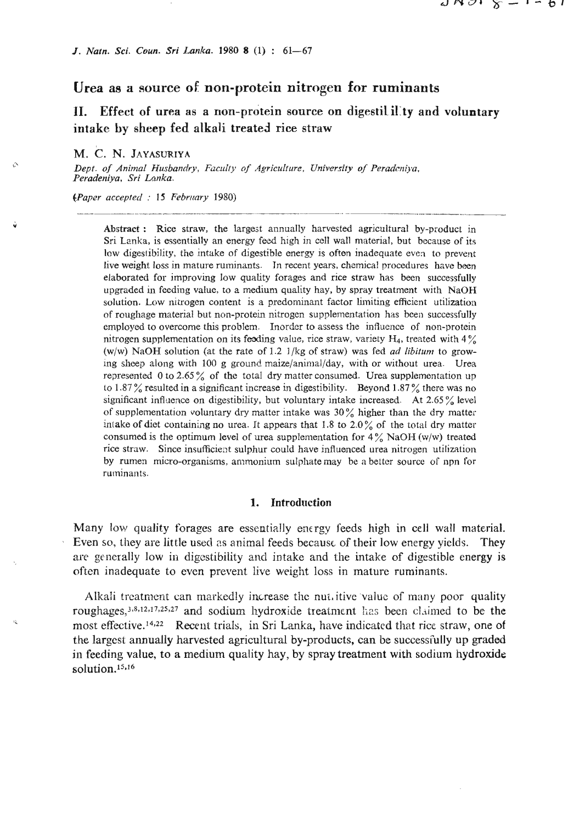/. *Natn. Sci. Covn. Sri Lanka.* **1980 8 (1)** : **61-67** 

## **Urea as a source of non-protein nitrogen for ruminants**

**11. Effect** of **urea as a non-protein source on digestili1:ty and voluntary intake by sheep fed alkali treated rice straw** 

## M. C. N. JAYASURIYA

*Dept. of Animal Husbandry, Faculty of Agriculture, University of Peradcniya, Feradeniya, Sri Lanka.*  epper. of Animal Theodenery, Tacany of Agriculary, Onversity of Teratempu,<br>Peradeniya, Sri Lonka.<br>Paper accepted: 15 February 1980)

*(Paper accepted : 15 February 1980)* 

**Abstract** : Rice straw, the largest annually harvested agricultural by-product in Sri Lanka, is essentially an energy feed high in cell wall material, but because of its low digestibility, the intake of digestible energy is often inadequate even to prevent live weight loss in mature ruminants. Jn recent years, chemica! procedures have been elaborated for improving low quality forages and rice straw has been successfully upgraded in feeding value. to a medium quality hay, by spray treatment with NaOH solution. Low nitrogen content is a predominant factor limiting efficient utilization of roughage material but non-protein nitrogen supplementation has been successfully employed to overcome this problem. Inorder to assess the influence of non-protein nitrogen supplementation on its feeding value, rice straw, variety  $H_4$ , treated with  $4\%$ (w/w) NaOH solution (at the rate of 1.2  $1$ /kg of straw) was fed *ad libitum* to growing sheep along with 100 **g** ground maize/animal/day, with or without urea. Urea represented 0 to 2.65 % of the total dry matter consumed. Urea supplementation up to **1.87** % resulted in a significant increase in digestibility. Beyond **1.87** % there was no significant influence on digestibility, but voluntary intake increased. At 2.65 % level of supplementation voluntary dry matter intake was **30%** higher than the dry matter intake of diet containing no urea. It appears that  $1.8$  to  $2.0\%$  of the total dry matter consumed is the optimum level of urea supplementation for 4% NaOH **(w/w)** treated rice straw. Since insufficient sulphur could have influenced urea nitrogen utilization by rumen micro-organisms, ammonium sulphate may be a bettcr source of npn for ruminants.

## **1. Introduction**

Many low quality forages are essentially energy feeds high in cell wall material. Even so, they are little used ns animal feeds because of their low energy yields. They are general!y low in digestibility and intake and the intake of digestible energy is often inadequate to even prevent live weight loss in mature ruminants.

Alkali treatment can markedly increase the nut, itive value of many poor quality roughages,<sup>3,8,12,17,25,27</sup> and sodium hydroxide treatment has been claimed to be the most effective.<sup>14,22</sup> Recent trials, in Sri Lanka, have indicated that rice straw, one of the largest annually harvested agricultural by-products, can be successfully up graded in feeding value, to **a** medium quality hay, by spray treatment with sodium hydroxide solution.<sup>15,16</sup>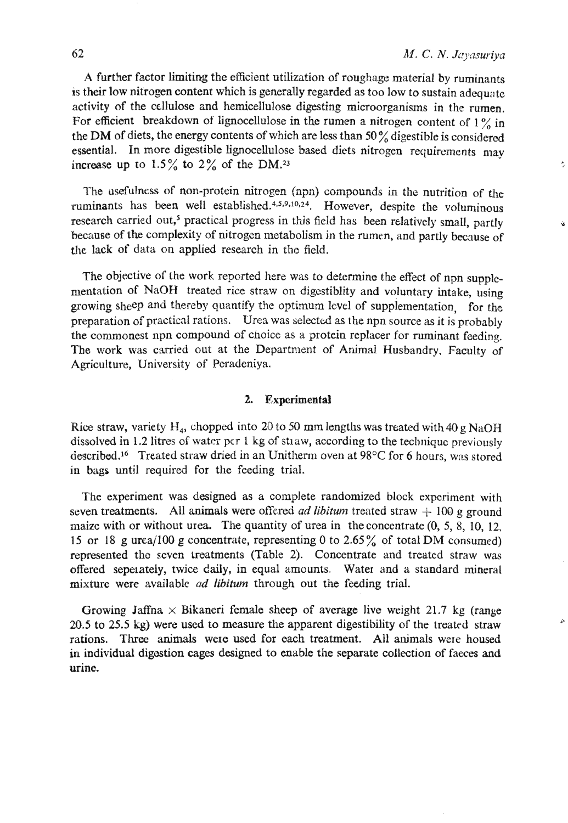ŕ,

 $\alpha$ 

**A** further factor limiting the efficient utilization of roughage material by ruminants 1s their low nitrogen content which is generally regarded **as** too low to sustain adequate activity of the cellulose and hemicellulose digesting microorganisms in the rumen. For efficient breakdown of lignocellulose in the rumen a nitrogen content of 1% in the DM of diets, the energy contents of which are less than **50%** digestible is considered essential. In more digestible lignocellulose based diets nitrogcn requirements **may**  increase up to  $1.5\%$  to  $2\%$  of the DM.<sup>23</sup>

The usefulness of non-protein nitrogen (npn) compounds in the nutrition of the ruminants has been well established.<sup>4,5,9,10,24</sup>. However, despite the voluminous research carried out,<sup>5</sup> practical progress in this field has been relatively small, partly because of the complexity of nitrogen metabolism in the rumen, and partly because of the lack of data on applied research in the field.

The objective of the work reported here was to determine the effect of npn supplernentation of **NaOH** treated rice straw on digestiblity and voluntary intake, using growing sheep and thereby quantify the optimum level of supplementation, for the preparation of practical rations. Urea was selected as the npn source as it is probably the commonest npn compound of choice as a protein replacer for ruminant feeding. The work was carried out at the Department of Animal Husbandry, Faculty of Agriculture, University of Peradeniya.

## **2. Experimental**

Rice straw, variety **H,,** chopped into **20** to 50 mm lengths was treated with 40 g **NaON**  dissolved in 1.2 litres of water **pcr** 1 kg of stiaw, according to the technique previously described.<sup>16</sup> Treated straw dried in an Unitherm oven at 98°C for 6 hours, was stored in bags until required for the feeding trial.

The experiment was designed as a complete randomized block experiment with seven treatments. All animals were offered *ad libitum* treated straw  $+ 100$  g ground maize with or without urea. The quantity of urea in theconcentrate (0, 5, 8, 10, **12,**  15 or **18** g urca/100 **g** concentrate, representing 0 to **2.65%** of total **DM** consumed) represented the seven treatments (Table **2).** Concentrate and treated straw **was**  offered sepeiately, twice daily, in equal amounts. Water and a standard mineral mixture were available *ad libitum* through out the feeding trial.

Growing Jaffna  $\times$  Bikaneri female sheep of average live weight 21.7 kg (range **20.5** to 25.5 kg) were used to measure the apparent digestibility of the treated straw rations. Three animals were used for each treatment. All animals were housed in individual digestion cages designed to enable the separate collection of faeces **and**  urine.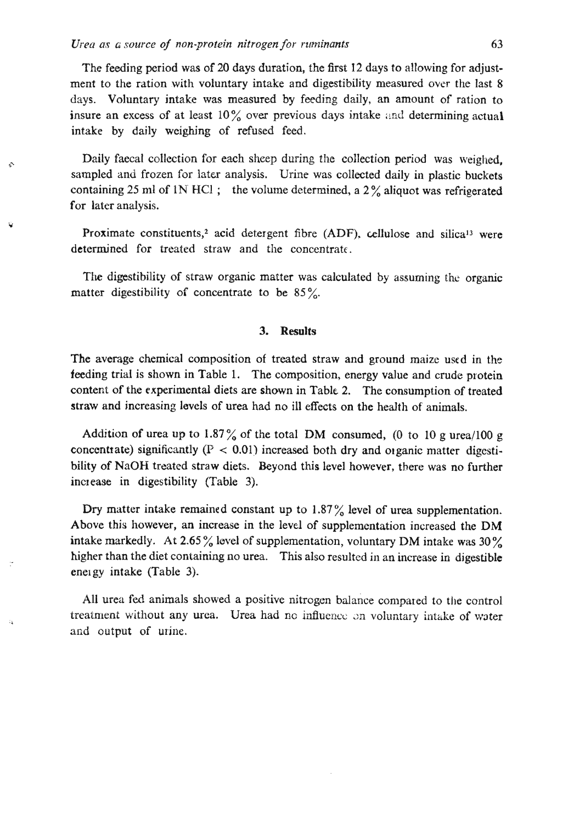*4* 

4

The feeding period was of **20** days duration, the first 12 days to allowing for adjustment to the ration with voluntary intake and digestibility measured over the last 8 days. Voluntary intake was measured by feeding daily, an amount of ration to insure an excess of at least  $10\%$  over previous days intake and determining actual intake by daily weighing of refused feed.

**Exercise 20** Daily faecal collection for each sheep during the collection period was weighed, sampled and frozen for later analysis. Urine was collected daily in plastic buckets containing **25** ml of 1N **HCl** ; the volume determined, a **2** % aliquot **was** refrigerated for later analysis.

> Proximate constituents,<sup>2</sup> acid detergent fibre (ADF), cellulose and silica<sup>13</sup> were determined for treated straw and the concentrate.

> **Tie** digestibility of straw organic matter was calculated by assuming **the** organic matter digestibility of concentrate to be 85%.

## **3. Results**

The average chemical composition of treated straw and ground maize used in the feeding trial is shown in Table 1. The composition, energy value and crude protein content of the experimental diets are shown in Table 2. The consumption of treated straw and increasing levels of urea had no ill effects on the health of animals.

Addition of urea up to  $1.87\%$  of the total DM consumed, (0 to 10 g urea/100 g concentrate) significantly  $(P < 0.01)$  increased both dry and organic matter digestibility of **NaOH** treated straw diets. Beyond this level however, there was no further increase in digestibility (Table 3).

**Dry** matter intake remained constant up to **1.87** % level of urea supplementation. Above this however, an increase in the level of supplementation increased the DM intake markedly. At 2.65 % level of supplementation, voluntary DM intake **was 30%**  higher than the diet containing no urea. This also resulted **in** an increase in digestible energy intake (Table 3).

All urea fed animals showed a positive nitrogen balance compared to the control treatment without any urea. Urea had no influence on voluntary intake of water and output of urine.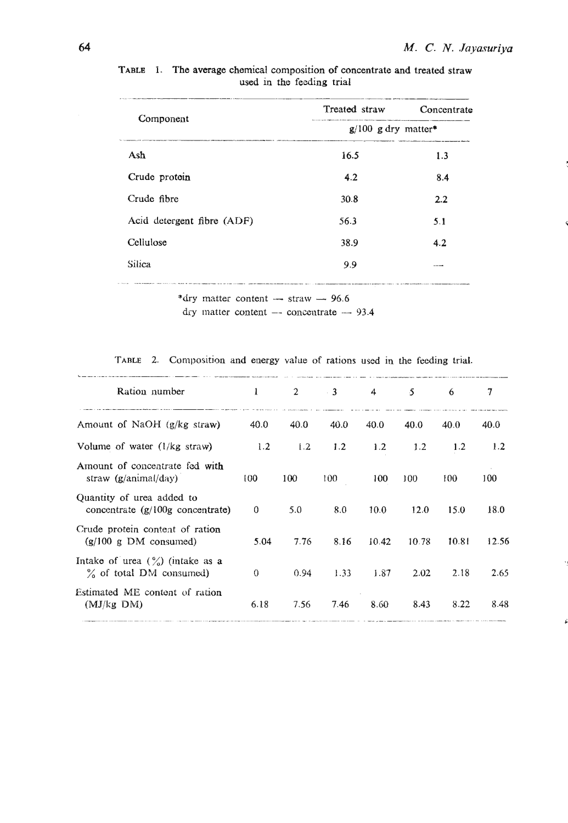|                                                                                                         | Treated straw                                                                                        | Concentrate |
|---------------------------------------------------------------------------------------------------------|------------------------------------------------------------------------------------------------------|-------------|
| Component                                                                                               | species with the characters in property that the battle coupled account the<br>$g/100$ g dry matter* |             |
| Ash                                                                                                     | 16.5                                                                                                 | 1.3         |
| Crude protein                                                                                           | 4.2                                                                                                  | 8.4         |
| Crude fibre                                                                                             | 30.8                                                                                                 | 2.2         |
| Acid detergent fibre (ADF)                                                                              | 56.3                                                                                                 | 5.1         |
| Cellulose                                                                                               | 38.9                                                                                                 | 4.2         |
| <b>Silica</b>                                                                                           | 9.9                                                                                                  | ----        |
| 1.5.5% Police III advantage communication over the contract community procedures and contract community |                                                                                                      |             |

TABLE 1. The average chemical composition of concentrate and treated straw used in the feeding trial

\*dry matter content  $-$  straw  $-$  96.6

dry matter content  $-$  concentrate  $-$  93.4

TABLE 2. Composition and energy value of rations used in the feeding trial.

| Ration number                                                             | 1        | $\mathbf{2}$ | $\sim$ 3. | $\boldsymbol{A}$ | -5.   | 6     | 7     |
|---------------------------------------------------------------------------|----------|--------------|-----------|------------------|-------|-------|-------|
| Amount of NaOH $(g/kg \text{ straw})$                                     | 40.0     | 40.0         | 40.0      | 40.0             | 40.0  | 40.0  | 40.0  |
| Volume of water $(1/kg \text{ straw})$                                    | 1.2      | 1.2          | 1.2       | 1.2              | 1.2   | 1.2   | 1.2   |
| Amount of concentrate fed with<br>straw $(g/\text{animal}/day)$           | 100      | 100          | 100       | 100              | 100   | 100   | 100   |
| Quantity of urea added to<br>concentrate $(g/100g$ concentrate)           | 0        | 5.0          | 8.0       | 10.0             | 12.0  | 15.0  | 18.0  |
| Crude protein content of ration<br>$(g/100 g$ DM consumed)                | 5.04     | 7.76         | 8.16      | 10.42            | 10.78 | 10.81 | 12.56 |
| Intake of urea $(\frac{9}{6})$ (intake as a<br>$\%$ of total DM consumed) | $\Omega$ | 0.94         | 1.33      | 1.87             | 2.02  | 2.18  | 2.65  |
| Estimated ME content of ration<br>$(MJ/kg$ DM)                            | 6.18     | 7.56         | 7.46      | 8.60             | 8.43  | 8.22  | 8.48  |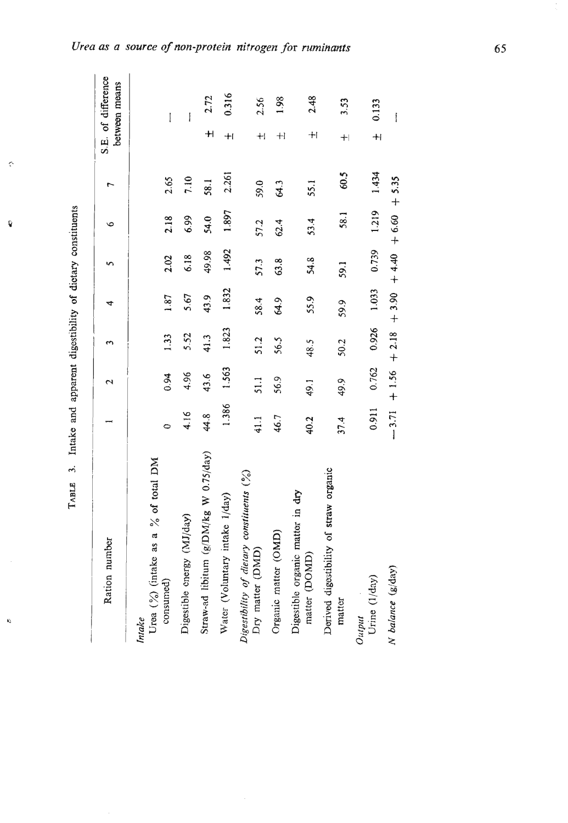| $\ddot{\phantom{0}}$ |
|----------------------|
|                      |
|                      |
| <b>The monthly</b>   |
| and                  |
| $\frac{1}{2}$        |
| i                    |
| į<br>J               |

 $\hat{\zeta}^{\zeta}$ 

Ŷ

 $\hat{\mathbf{g}}$ 

| Ration number                                                 |       | $\mathbf{\hat{c}}$ |                                            | 4     |       | $\circ$ |       |           | S.E. of difference<br>between means |
|---------------------------------------------------------------|-------|--------------------|--------------------------------------------|-------|-------|---------|-------|-----------|-------------------------------------|
| Urea (%) (intake as a % of total DM<br>Intake                 |       |                    |                                            |       |       |         |       |           |                                     |
| consumed)                                                     | ¢     | 0.94               | 1.33                                       | 1.87  | 2.02  | 2.18    | 2.65  |           | I                                   |
| Digestible energy (MJ/day)                                    | 4.16  | 4.96               | 5.52                                       | 5.67  | 6.18  | 6.99    | 7.10  |           | I                                   |
| Straw-ad libitum (g/DM/kg W 0.75/day)                         | 44.8  | 43.6               | 41.3                                       | 43.9  | 49.98 | 54.0    | 58.1  | $\pm$     | 2.72                                |
| Water (Voluntary intake 1/day)                                | 1.386 | 1.563              | 1.823                                      | 1.832 | 1.492 | 1.897   | 2.261 | $+1$      | 0.316                               |
| Digestibility of dietary constituents (%)<br>Dry matter (DMD) | 41.1  | 51.1               | 51.2                                       | 58.4  | 57.3  | 57.2    | 59.0  | $\ddot{}$ | 2.56                                |
| Organic matter (OMD)                                          | 46.7  | 56.9               | 56.5                                       | 64.9  | 63.8  | 62.4    | 64.3  | $+1$      | 1.98                                |
| Digestible organic matter in dry<br>matter (DOMD)             | 40.2  | 49.1               | 48.5                                       | 55.9  | 54.8  | 53.4    | 55.1  | $+$       | 2.48                                |
| Derived digestibility of straw organic<br>matter              | 37.4  | 49.9               | 50.2                                       | 59.9  | 59.1  | 58.1    | 60.5  | $+$       | 3.53                                |
| Urine (1/day)<br>Output                                       | 0.911 |                    | $0.762$ $0.926$ 1.033 0.739 1.219          |       |       |         | 1.434 | $+1$      | 0.133                               |
| N balance (g/day)                                             |       |                    | $-3.71$ + 1.56 + 2.18 + 4.40 + 6.60 + 5.35 |       |       |         |       |           | İ                                   |

# Urea as a source of non-protein nitrogen for ruminants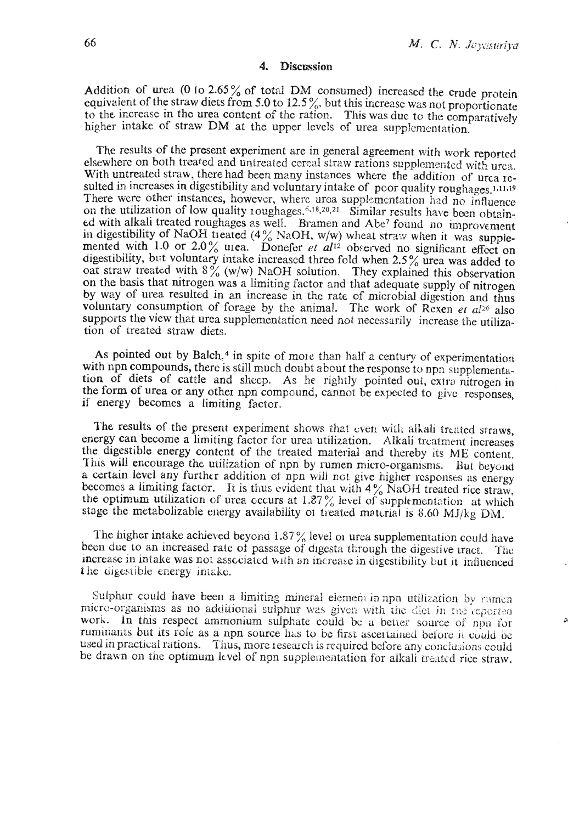#### $\mathbf{4}$ **Discussion**

Addition of urea (0 to 2.65% of total DM consumed) increased the crude protein equivalent of the straw diets from 5.0 to 12.5%, but this increase was not proportionate to the increase in the urea content of the ration. This was due to the comparatively higher intake of straw DM at the upper levels of urea supplementation.

The results of the present experiment are in general agreement with work reported elsewhere on both treated and untreated cereal straw rations supplemented with urea. With untreated straw, there had been many instances where the addition of urea resulted in increases in digestibility and voluntary intake of poor quality roughages.<sup>1,11,19</sup> There were other instances, however, where urea supplementation had no influence on the utilization of low quality 10ughages.<sup>6,18,20,21</sup> Similar results have been obtained with alkali treated roughages as well. Bramen and Abe<sup>7</sup> found no improvement in digestibility of NaOH treated  $(4\%$  NaOH, w/w) wheat straw when it was supplemented with 1.0 or 2.0% urea. Donefer *et al*<sup>12</sup> observed no significant effect on digestibility, but voluntary intake increased three fold when 2.5% urea was added to oat straw treated with  $8\frac{6}{9}$  (w/w) NaOH solution. They explained this observation on the basis that nitrogen was a limiting factor and that adequate supply of nitrogen by way of urea resulted in an increase in the rate of microbial digestion and thus voluntary consumption of forage by the animal. The work of Rexen et al26 also supports the view that urea supplementation need not necessarily increase the utilization of treated straw diets.

As pointed out by Balch.<sup>4</sup> in spite of more than half a century of experimentation with npn compounds, there is still much doubt about the response to npn supplementation of diets of cattle and sheep. As he rightly pointed out, extra nitrogen in the form of urea or any other npn compound, cannot be expected to give responses. if energy becomes a limiting factor.

The results of the present experiment shows that even with alkali treated straws, energy can become a limiting factor for urea utilization. Alkali treatment increases the digestible energy content of the treated material and thereby its ME content. This will encourage the utilization of npn by rumen micro-organisms. But beyond a certain level any further addition of npn will not give higher responses as energy becomes a limiting factor. It is thus evident that with  $4\%$  NaOH treated rice straw, the optimum utilization of urea occurs at 1.87% level of supplementation at which stage the metabolizable energy availability of treated material is 8.60 MJ/kg DM.

The higher intake achieved beyond 1.87% level or urea supplementation could have been due to an increased rate of passage of digesta through the digestive tract. The increase in intake was not associated with an increase in digestibility but it influenced the digestible energy intake.

Sulphur could have been a limiting mineral element in npn utilization by rumen micro-organisms as no additional sulphur was given with the diet in the reported work. In this respect ammonium sulphate could be a better source of npn for ruminants but its role as a non source has to be first ascertained before it could be used in practical rations. Thus, more research is required before any conclusions could be drawn on the optimum level of npn supplementation for alkali treated rice straw.